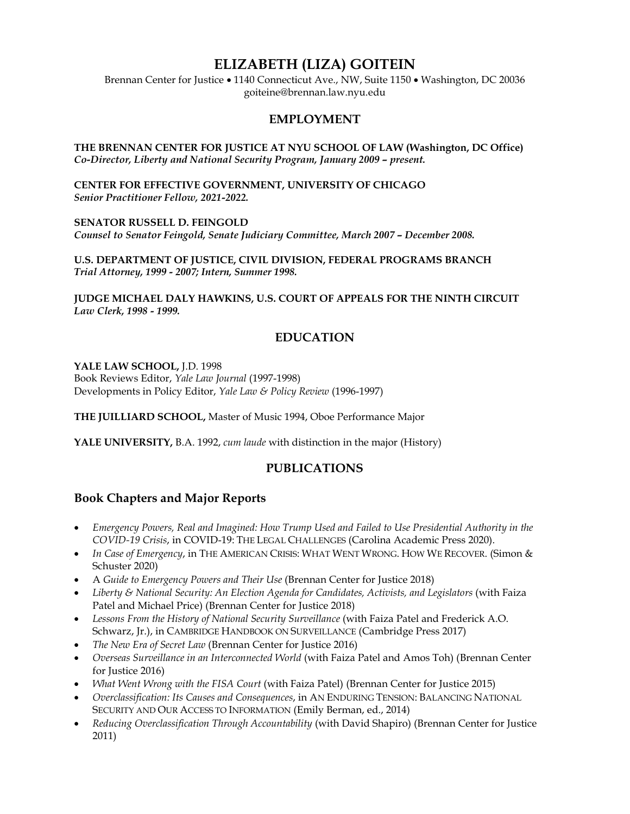# **ELIZABETH (LIZA) GOITEIN**

Brennan Center for Justice • 1140 Connecticut Ave., NW, Suite 1150 • Washington, DC 20036 goiteine@brennan.law.nyu.edu

#### **EMPLOYMENT**

**THE BRENNAN CENTER FOR JUSTICE AT NYU SCHOOL OF LAW (Washington, DC Office)** *Co-Director, Liberty and National Security Program, January 2009 – present.*

**CENTER FOR EFFECTIVE GOVERNMENT, UNIVERSITY OF CHICAGO** *Senior Practitioner Fellow, 2021-2022.*

**SENATOR RUSSELL D. FEINGOLD**  *Counsel to Senator Feingold, Senate Judiciary Committee, March 2007 – December 2008.*

**U.S. DEPARTMENT OF JUSTICE, CIVIL DIVISION, FEDERAL PROGRAMS BRANCH**  *Trial Attorney, 1999 - 2007; Intern, Summer 1998.* 

**JUDGE MICHAEL DALY HAWKINS, U.S. COURT OF APPEALS FOR THE NINTH CIRCUIT** *Law Clerk, 1998 - 1999.*

### **EDUCATION**

**YALE LAW SCHOOL,** J.D. 1998

Book Reviews Editor, *Yale Law Journal* (1997-1998) Developments in Policy Editor, *Yale Law & Policy Review* (1996-1997)

**THE JUILLIARD SCHOOL,** Master of Music 1994, Oboe Performance Major

**YALE UNIVERSITY,** B.A. 1992, *cum laude* with distinction in the major (History)

#### **PUBLICATIONS**

#### **Book Chapters and Major Reports**

- *Emergency Powers, Real and Imagined: How Trump Used and Failed to Use Presidential Authority in the COVID-19 Crisis*, in COVID-19: THE LEGAL CHALLENGES (Carolina Academic Press 2020).
- *In Case of Emergency*, in THE AMERICAN CRISIS: WHAT WENT WRONG. HOW WE RECOVER. (Simon & Schuster 2020)
- A *Guide to Emergency Powers and Their Use* (Brennan Center for Justice 2018)
- *Liberty & National Security: An Election Agenda for Candidates, Activists, and Legislators* (with Faiza Patel and Michael Price) (Brennan Center for Justice 2018)
- *Lessons From the History of National Security Surveillance* (with Faiza Patel and Frederick A.O. Schwarz, Jr.), in CAMBRIDGE HANDBOOK ON SURVEILLANCE (Cambridge Press 2017)
- *The New Era of Secret Law* (Brennan Center for Justice 2016)
- *Overseas Surveillance in an Interconnected World* (with Faiza Patel and Amos Toh) (Brennan Center for Justice 2016)
- *What Went Wrong with the FISA Court* (with Faiza Patel) (Brennan Center for Justice 2015)
- *Overclassification: Its Causes and Consequences*, in AN ENDURING TENSION: BALANCING NATIONAL SECURITY AND OUR ACCESS TO INFORMATION (Emily Berman, ed., 2014)
- *Reducing Overclassification Through Accountability* (with David Shapiro) (Brennan Center for Justice 2011)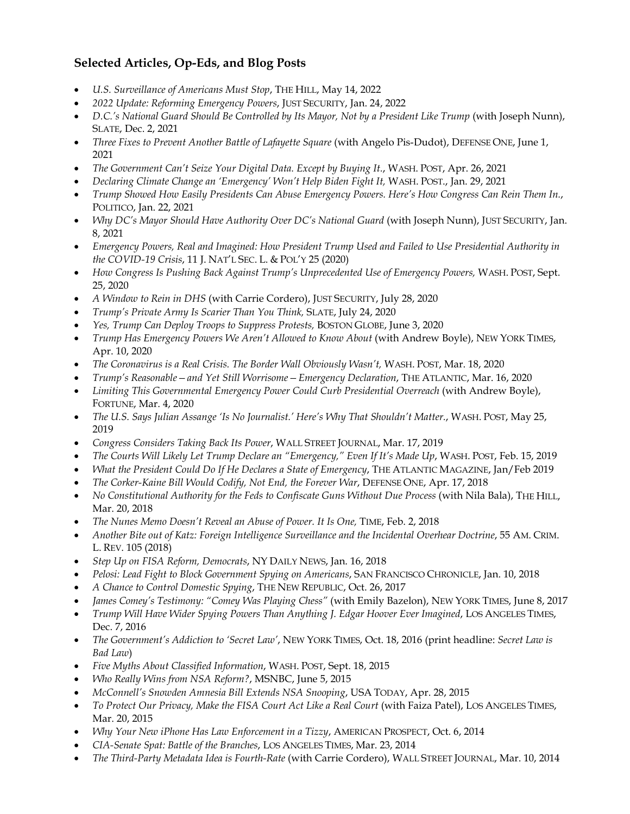## **Selected Articles, Op-Eds, and Blog Posts**

- *U.S. Surveillance of Americans Must Stop*, THE HILL, May 14, 2022
- *2022 Update: Reforming Emergency Powers*, JUST SECURITY, Jan. 24, 2022
- *D.C.'s National Guard Should Be Controlled by Its Mayor, Not by a President Like Trump* (with Joseph Nunn), SLATE, Dec. 2, 2021
- *Three Fixes to Prevent Another Battle of Lafayette Square* (with Angelo Pis-Dudot), DEFENSE ONE, June 1, 2021
- *The Government Can't Seize Your Digital Data. Except by Buying It.*, WASH. POST, Apr. 26, 2021
- *Declaring Climate Change an 'Emergency' Won't Help Biden Fight It,* WASH. POST., Jan. 29, 2021
- *Trump Showed How Easily Presidents Can Abuse Emergency Powers. Here's How Congress Can Rein Them In.*, POLITICO, Jan. 22, 2021
- *Why DC's Mayor Should Have Authority Over DC's National Guard* (with Joseph Nunn), JUST SECURITY, Jan. 8, 2021
- *Emergency Powers, Real and Imagined: How President Trump Used and Failed to Use Presidential Authority in the COVID-19 Crisis*, 11 J. NAT'L SEC. L. & POL'Y 25 (2020)
- *How Congress Is Pushing Back Against Trump's Unprecedented Use of Emergency Powers,* WASH. POST, Sept. 25, 2020
- *A Window to Rein in DHS* (with Carrie Cordero), JUST SECURITY, July 28, 2020
- *Trump's Private Army Is Scarier Than You Think,* SLATE, July 24, 2020
- *Yes, Trump Can Deploy Troops to Suppress Protests,* BOSTON GLOBE, June 3, 2020
- *Trump Has Emergency Powers We Aren't Allowed to Know About (with Andrew Boyle), NEW YORK TIMES,* Apr. 10, 2020
- *The Coronavirus is a Real Crisis. The Border Wall Obviously Wasn't,* WASH. POST, Mar. 18, 2020
- *Trump's Reasonable—and Yet Still Worrisome—Emergency Declaration*, THE ATLANTIC, Mar. 16, 2020
- *Limiting This Governmental Emergency Power Could Curb Presidential Overreach* (with Andrew Boyle), FORTUNE, Mar. 4, 2020
- *The U.S. Says Julian Assange 'Is No Journalist.' Here's Why That Shouldn't Matter.*, WASH. POST, May 25, 2019
- *Congress Considers Taking Back Its Power*, WALL STREET JOURNAL, Mar. 17, 2019
- *The Courts Will Likely Let Trump Declare an "Emergency," Even If It's Made Up*, WASH. POST, Feb. 15, 2019
- *What the President Could Do If He Declares a State of Emergency*, THE ATLANTIC MAGAZINE, Jan/Feb 2019
- *The Corker-Kaine Bill Would Codify, Not End, the Forever War*, DEFENSE ONE, Apr. 17, 2018
- *No Constitutional Authority for the Feds to Confiscate Guns Without Due Process* (with Nila Bala), THE HILL, Mar. 20, 2018
- *The Nunes Memo Doesn't Reveal an Abuse of Power. It Is One,* TIME, Feb. 2, 2018
- *Another Bite out of Katz: Foreign Intelligence Surveillance and the Incidental Overhear Doctrine*, 55 AM. CRIM. L. REV. 105 (2018)
- *Step Up on FISA Reform, Democrats*, NY DAILY NEWS, Jan. 16, 2018
- *Pelosi: Lead Fight to Block Government Spying on Americans*, SAN FRANCISCO CHRONICLE, Jan. 10, 2018
- *A Chance to Control Domestic Spying*, THE NEW REPUBLIC, Oct. 26, 2017
- *James Comey's Testimony: "Comey Was Playing Chess"* (with Emily Bazelon), NEW YORK TIMES, June 8, 2017
- *Trump Will Have Wider Spying Powers Than Anything J. Edgar Hoover Ever Imagined*, LOS ANGELES TIMES, Dec. 7, 2016
- *The Government's Addiction to 'Secret Law'*, NEW YORK TIMES, Oct. 18, 2016 (print headline: *Secret Law is Bad Law*)
- *Five Myths About Classified Information*, WASH. POST, Sept. 18, 2015
- *Who Really Wins from NSA Reform?*, MSNBC, June 5, 2015
- *McConnell's Snowden Amnesia Bill Extends NSA Snooping*, USA TODAY, Apr. 28, 2015
- *To Protect Our Privacy, Make the FISA Court Act Like a Real Court* (with Faiza Patel), LOS ANGELES TIMES, Mar. 20, 2015
- *Why Your New iPhone Has Law Enforcement in a Tizzy*, AMERICAN PROSPECT, Oct. 6, 2014
- *CIA-Senate Spat: Battle of the Branches*, LOS ANGELES TIMES, Mar. 23, 2014
- *The Third-Party Metadata Idea is Fourth-Rate* (with Carrie Cordero), WALL STREET JOURNAL, Mar. 10, 2014